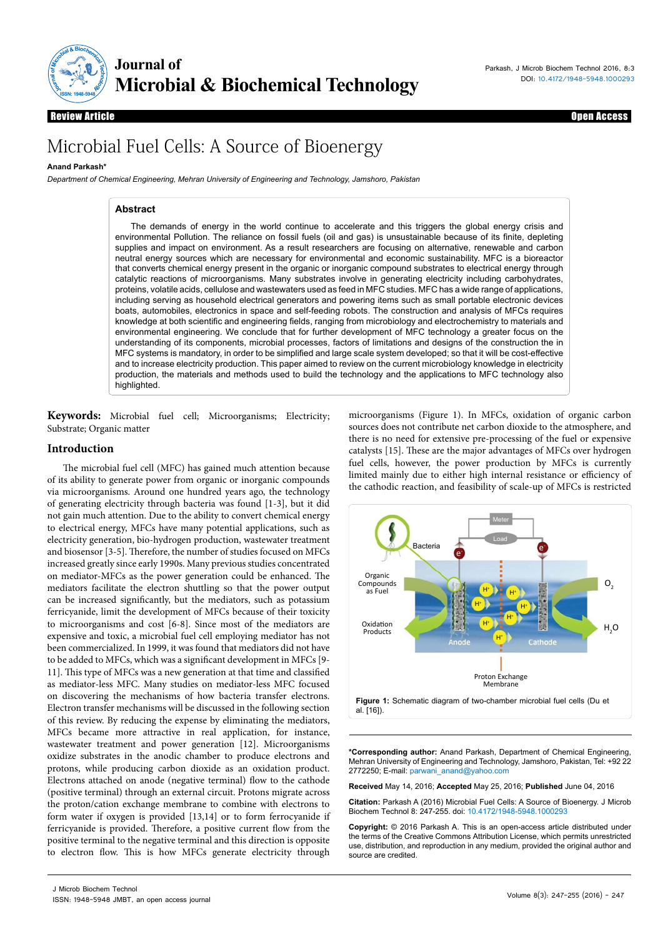

Review Article Open Access

# Microbial Fuel Cells: A Source of Bioenergy

# **Anand Parkash\***

*Department of Chemical Engineering, Mehran University of Engineering and Technology, Jamshoro, Pakistan*

# **Abstract**

The demands of energy in the world continue to accelerate and this triggers the global energy crisis and environmental Pollution. The reliance on fossil fuels (oil and gas) is unsustainable because of its finite, depleting supplies and impact on environment. As a result researchers are focusing on alternative, renewable and carbon neutral energy sources which are necessary for environmental and economic sustainability. MFC is a bioreactor that converts chemical energy present in the organic or inorganic compound substrates to electrical energy through catalytic reactions of microorganisms. Many substrates involve in generating electricity including carbohydrates, proteins, volatile acids, cellulose and wastewaters used as feed in MFC studies. MFC has a wide range of applications, including serving as household electrical generators and powering items such as small portable electronic devices boats, automobiles, electronics in space and self-feeding robots. The construction and analysis of MFCs requires knowledge at both scientific and engineering fields, ranging from microbiology and electrochemistry to materials and environmental engineering. We conclude that for further development of MFC technology a greater focus on the understanding of its components, microbial processes, factors of limitations and designs of the construction the in MFC systems is mandatory, in order to be simplified and large scale system developed; so that it will be cost-effective and to increase electricity production. This paper aimed to review on the current microbiology knowledge in electricity production, the materials and methods used to build the technology and the applications to MFC technology also highlighted.

**Keywords:** Microbial fuel cell; Microorganisms; Electricity; Substrate; Organic matter

## **Introduction**

The microbial fuel cell (MFC) has gained much attention because of its ability to generate power from organic or inorganic compounds via microorganisms. Around one hundred years ago, the technology of generating electricity through bacteria was found [1-3], but it did not gain much attention. Due to the ability to convert chemical energy to electrical energy, MFCs have many potential applications, such as electricity generation, bio-hydrogen production, wastewater treatment and biosensor [3-5]. Therefore, the number of studies focused on MFCs increased greatly since early 1990s. Many previous studies concentrated on mediator-MFCs as the power generation could be enhanced. The mediators facilitate the electron shuttling so that the power output can be increased significantly, but the mediators, such as potassium ferricyanide, limit the development of MFCs because of their toxicity to microorganisms and cost [6-8]. Since most of the mediators are expensive and toxic, a microbial fuel cell employing mediator has not been commercialized. In 1999, it was found that mediators did not have to be added to MFCs, which was a significant development in MFCs [9- 11]. This type of MFCs was a new generation at that time and classified as mediator-less MFC. Many studies on mediator-less MFC focused on discovering the mechanisms of how bacteria transfer electrons. Electron transfer mechanisms will be discussed in the following section of this review. By reducing the expense by eliminating the mediators, MFCs became more attractive in real application, for instance, wastewater treatment and power generation [12]. Microorganisms oxidize substrates in the anodic chamber to produce electrons and protons, while producing carbon dioxide as an oxidation product. Electrons attached on anode (negative terminal) flow to the cathode (positive terminal) through an external circuit. Protons migrate across the proton/cation exchange membrane to combine with electrons to form water if oxygen is provided [13,14] or to form ferrocyanide if ferricyanide is provided. Therefore, a positive current flow from the positive terminal to the negative terminal and this direction is opposite to electron flow. This is how MFCs generate electricity through

microorganisms (Figure 1). In MFCs, oxidation of organic carbon sources does not contribute net carbon dioxide to the atmosphere, and there is no need for extensive pre-processing of the fuel or expensive catalysts [15]. These are the major advantages of MFCs over hydrogen fuel cells, however, the power production by MFCs is currently limited mainly due to either high internal resistance or efficiency of the cathodic reaction, and feasibility of scale-up of MFCs is restricted



**\*Corresponding author:** Anand Parkash, Department of Chemical Engineering, Mehran University of Engineering and Technology, Jamshoro, Pakistan, Tel: +92 22 2772250; E-mail: parwani\_anand@yahoo.com

**Received** May 14, 2016; **Accepted** May 25, 2016; **Published** June 04, 2016

**Citation:** Parkash A (2016) Microbial Fuel Cells: A Source of Bioenergy. J Microb Biochem Technol 8: 247-255. doi: 10.4172/1948-5948.1000293

**Copyright:** © 2016 Parkash A. This is an open-access article distributed under the terms of the Creative Commons Attribution License, which permits unrestricted use, distribution, and reproduction in any medium, provided the original author and source are credited.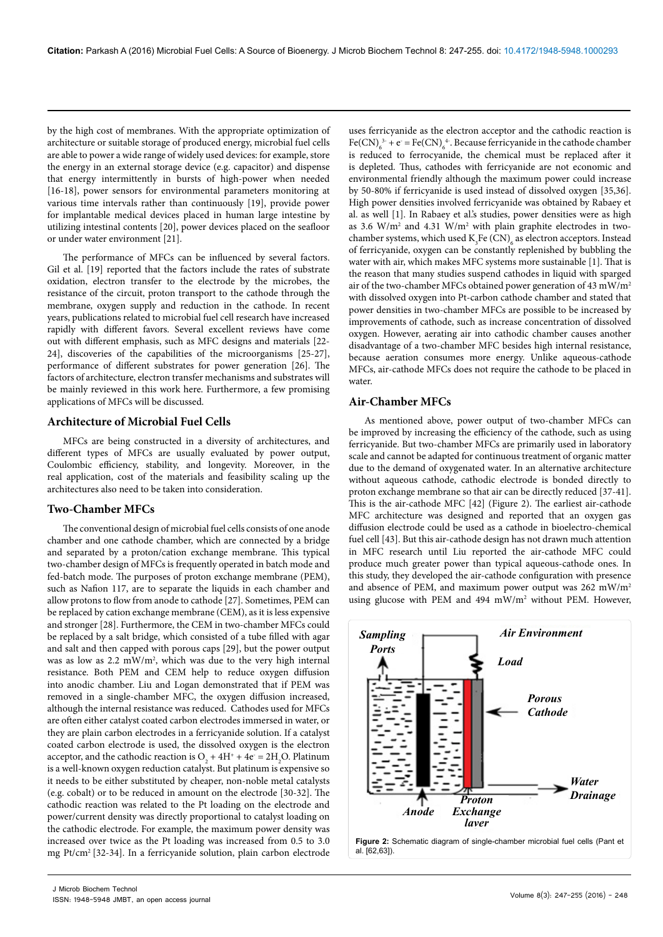by the high cost of membranes. With the appropriate optimization of architecture or suitable storage of produced energy, microbial fuel cells are able to power a wide range of widely used devices: for example, store the energy in an external storage device (e.g. capacitor) and dispense that energy intermittently in bursts of high-power when needed [16-18], power sensors for environmental parameters monitoring at various time intervals rather than continuously [19], provide power for implantable medical devices placed in human large intestine by utilizing intestinal contents [20], power devices placed on the seafloor or under water environment [21].

The performance of MFCs can be influenced by several factors. Gil et al. [19] reported that the factors include the rates of substrate oxidation, electron transfer to the electrode by the microbes, the resistance of the circuit, proton transport to the cathode through the membrane, oxygen supply and reduction in the cathode. In recent years, publications related to microbial fuel cell research have increased rapidly with different favors. Several excellent reviews have come out with different emphasis, such as MFC designs and materials [22- 24], discoveries of the capabilities of the microorganisms [25-27], performance of different substrates for power generation [26]. The factors of architecture, electron transfer mechanisms and substrates will be mainly reviewed in this work here. Furthermore, a few promising applications of MFCs will be discussed.

# **Architecture of Microbial Fuel Cells**

MFCs are being constructed in a diversity of architectures, and different types of MFCs are usually evaluated by power output, Coulombic efficiency, stability, and longevity. Moreover, in the real application, cost of the materials and feasibility scaling up the architectures also need to be taken into consideration.

# **Two-Chamber MFCs**

The conventional design of microbial fuel cells consists of one anode chamber and one cathode chamber, which are connected by a bridge and separated by a proton/cation exchange membrane. This typical two-chamber design of MFCs is frequently operated in batch mode and fed-batch mode. The purposes of proton exchange membrane (PEM), such as Nafion 117, are to separate the liquids in each chamber and allow protons to flow from anode to cathode [27]. Sometimes, PEM can be replaced by cation exchange membrane (CEM), as it is less expensive and stronger [28]. Furthermore, the CEM in two-chamber MFCs could be replaced by a salt bridge, which consisted of a tube filled with agar and salt and then capped with porous caps [29], but the power output was as low as 2.2 mW/m<sup>2</sup>, which was due to the very high internal resistance. Both PEM and CEM help to reduce oxygen diffusion into anodic chamber. Liu and Logan demonstrated that if PEM was removed in a single-chamber MFC, the oxygen diffusion increased, although the internal resistance was reduced. Cathodes used for MFCs are often either catalyst coated carbon electrodes immersed in water, or they are plain carbon electrodes in a ferricyanide solution. If a catalyst coated carbon electrode is used, the dissolved oxygen is the electron acceptor, and the cathodic reaction is  $O_2 + 4H^+ + 4e^- = 2H_2O$ . Platinum is a well-known oxygen reduction catalyst. But platinum is expensive so it needs to be either substituted by cheaper, non-noble metal catalysts (e.g. cobalt) or to be reduced in amount on the electrode [30-32]. The cathodic reaction was related to the Pt loading on the electrode and power/current density was directly proportional to catalyst loading on the cathodic electrode. For example, the maximum power density was increased over twice as the Pt loading was increased from 0.5 to 3.0 mg Pt/cm2 [32-34]. In a ferricyanide solution, plain carbon electrode

uses ferricyanide as the electron acceptor and the cathodic reaction is Fe(CN) $_6^{3}$  + e = Fe(CN) $_6^{4}$ . Because ferricyanide in the cathode chamber is reduced to ferrocyanide, the chemical must be replaced after it is depleted. Thus, cathodes with ferricyanide are not economic and environmental friendly although the maximum power could increase by 50-80% if ferricyanide is used instead of dissolved oxygen [35,36]. High power densities involved ferricyanide was obtained by Rabaey et al. as well [1]. In Rabaey et al.'s studies, power densities were as high as 3.6  $W/m^2$  and 4.31  $W/m^2$  with plain graphite electrodes in twochamber systems, which used  $\mathrm{K}_3\mathrm{Fe}\left(\mathrm{CN}\right)_6$  as electron acceptors. Instead of ferricyanide, oxygen can be constantly replenished by bubbling the water with air, which makes MFC systems more sustainable [1]. That is the reason that many studies suspend cathodes in liquid with sparged air of the two-chamber MFCs obtained power generation of 43 mW/m2 with dissolved oxygen into Pt-carbon cathode chamber and stated that power densities in two-chamber MFCs are possible to be increased by improvements of cathode, such as increase concentration of dissolved oxygen. However, aerating air into cathodic chamber causes another disadvantage of a two-chamber MFC besides high internal resistance, because aeration consumes more energy. Unlike aqueous-cathode MFCs, air-cathode MFCs does not require the cathode to be placed in water.

## **Air-Chamber MFCs**

As mentioned above, power output of two-chamber MFCs can be improved by increasing the efficiency of the cathode, such as using ferricyanide. But two-chamber MFCs are primarily used in laboratory scale and cannot be adapted for continuous treatment of organic matter due to the demand of oxygenated water. In an alternative architecture without aqueous cathode, cathodic electrode is bonded directly to proton exchange membrane so that air can be directly reduced [37-41]. This is the air-cathode MFC [42] (Figure 2). The earliest air-cathode MFC architecture was designed and reported that an oxygen gas diffusion electrode could be used as a cathode in bioelectro-chemical fuel cell [43]. But this air-cathode design has not drawn much attention in MFC research until Liu reported the air-cathode MFC could produce much greater power than typical aqueous-cathode ones. In this study, they developed the air-cathode configuration with presence and absence of PEM, and maximum power output was 262 mW/m2 using glucose with PEM and 494 mW/m<sup>2</sup> without PEM. However,

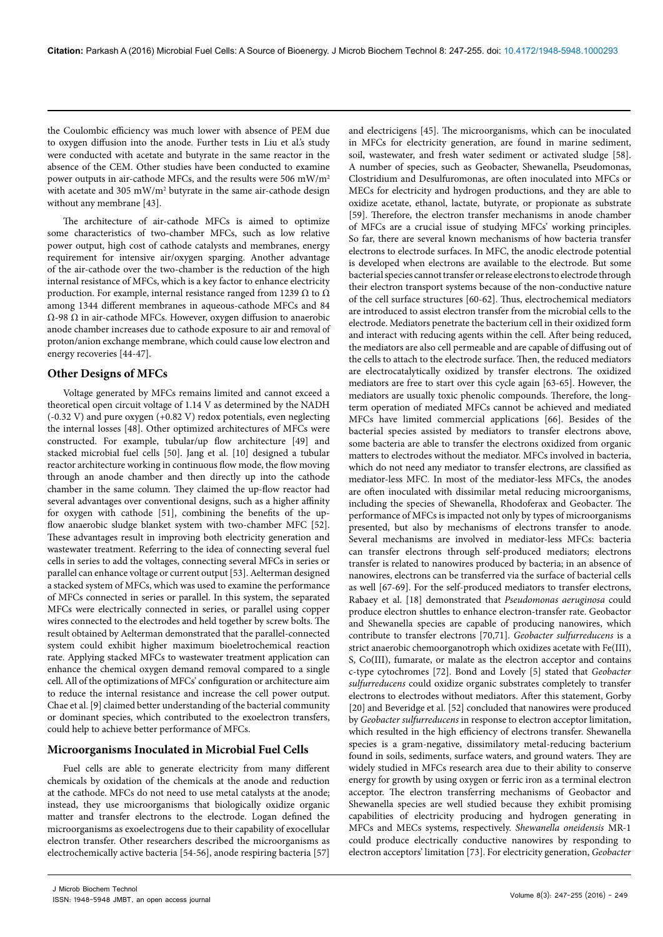the Coulombic efficiency was much lower with absence of PEM due to oxygen diffusion into the anode. Further tests in Liu et al.'s study were conducted with acetate and butyrate in the same reactor in the absence of the CEM. Other studies have been conducted to examine power outputs in air-cathode MFCs, and the results were 506 mW/m2 with acetate and 305 mW/m<sup>2</sup> butyrate in the same air-cathode design without any membrane [43].

The architecture of air-cathode MFCs is aimed to optimize some characteristics of two-chamber MFCs, such as low relative power output, high cost of cathode catalysts and membranes, energy requirement for intensive air/oxygen sparging. Another advantage of the air-cathode over the two-chamber is the reduction of the high internal resistance of MFCs, which is a key factor to enhance electricity production. For example, internal resistance ranged from 1239  $\Omega$  to  $\Omega$ among 1344 different membranes in aqueous-cathode MFCs and 84 Ω-98 Ω in air-cathode MFCs. However, oxygen diffusion to anaerobic anode chamber increases due to cathode exposure to air and removal of proton/anion exchange membrane, which could cause low electron and energy recoveries [44-47].

# **Other Designs of MFCs**

Voltage generated by MFCs remains limited and cannot exceed a theoretical open circuit voltage of 1.14 V as determined by the NADH (-0.32 V) and pure oxygen (+0.82 V) redox potentials, even neglecting the internal losses [48]. Other optimized architectures of MFCs were constructed. For example, tubular/up flow architecture [49] and stacked microbial fuel cells [50]. Jang et al. [10] designed a tubular reactor architecture working in continuous flow mode, the flow moving through an anode chamber and then directly up into the cathode chamber in the same column. They claimed the up-flow reactor had several advantages over conventional designs, such as a higher affinity for oxygen with cathode [51], combining the benefits of the upflow anaerobic sludge blanket system with two-chamber MFC [52]. These advantages result in improving both electricity generation and wastewater treatment. Referring to the idea of connecting several fuel cells in series to add the voltages, connecting several MFCs in series or parallel can enhance voltage or current output [53]. Aelterman designed a stacked system of MFCs, which was used to examine the performance of MFCs connected in series or parallel. In this system, the separated MFCs were electrically connected in series, or parallel using copper wires connected to the electrodes and held together by screw bolts. The result obtained by Aelterman demonstrated that the parallel-connected system could exhibit higher maximum bioeletrochemical reaction rate. Applying stacked MFCs to wastewater treatment application can enhance the chemical oxygen demand removal compared to a single cell. All of the optimizations of MFCs' configuration or architecture aim to reduce the internal resistance and increase the cell power output. Chae et al. [9] claimed better understanding of the bacterial community or dominant species, which contributed to the exoelectron transfers, could help to achieve better performance of MFCs.

## **Microorganisms Inoculated in Microbial Fuel Cells**

Fuel cells are able to generate electricity from many different chemicals by oxidation of the chemicals at the anode and reduction at the cathode. MFCs do not need to use metal catalysts at the anode; instead, they use microorganisms that biologically oxidize organic matter and transfer electrons to the electrode. Logan defined the microorganisms as exoelectrogens due to their capability of exocellular electron transfer. Other researchers described the microorganisms as electrochemically active bacteria [54-56], anode respiring bacteria [57]

Volume 8(3): 247-255 (2016) - 249<br>Volume 8(3): 247-255 (2016) - 249 ISSN: 1948-5948 JMBT, an open access journal

and electricigens [45]. The microorganisms, which can be inoculated in MFCs for electricity generation, are found in marine sediment, soil, wastewater, and fresh water sediment or activated sludge [58]. A number of species, such as Geobacter, Shewanella, Pseudomonas, Clostridium and Desulfuromonas, are often inoculated into MFCs or MECs for electricity and hydrogen productions, and they are able to oxidize acetate, ethanol, lactate, butyrate, or propionate as substrate [59]. Therefore, the electron transfer mechanisms in anode chamber of MFCs are a crucial issue of studying MFCs' working principles. So far, there are several known mechanisms of how bacteria transfer electrons to electrode surfaces. In MFC, the anodic electrode potential is developed when electrons are available to the electrode. But some bacterial species cannot transfer or release electrons to electrode through their electron transport systems because of the non-conductive nature of the cell surface structures [60-62]. Thus, electrochemical mediators are introduced to assist electron transfer from the microbial cells to the electrode. Mediators penetrate the bacterium cell in their oxidized form and interact with reducing agents within the cell. After being reduced, the mediators are also cell permeable and are capable of diffusing out of the cells to attach to the electrode surface. Then, the reduced mediators are electrocatalytically oxidized by transfer electrons. The oxidized mediators are free to start over this cycle again [63-65]. However, the mediators are usually toxic phenolic compounds. Therefore, the longterm operation of mediated MFCs cannot be achieved and mediated MFCs have limited commercial applications [66]. Besides of the bacterial species assisted by mediators to transfer electrons above, some bacteria are able to transfer the electrons oxidized from organic matters to electrodes without the mediator. MFCs involved in bacteria, which do not need any mediator to transfer electrons, are classified as mediator-less MFC. In most of the mediator-less MFCs, the anodes are often inoculated with dissimilar metal reducing microorganisms, including the species of Shewanella, Rhodoferax and Geobacter. The performance of MFCs is impacted not only by types of microorganisms presented, but also by mechanisms of electrons transfer to anode. Several mechanisms are involved in mediator-less MFCs: bacteria can transfer electrons through self-produced mediators; electrons transfer is related to nanowires produced by bacteria; in an absence of nanowires, electrons can be transferred via the surface of bacterial cells as well [67-69]. For the self-produced mediators to transfer electrons, Rabaey et al. [18] demonstrated that *Pseudomonas aeruginosa* could produce electron shuttles to enhance electron-transfer rate. Geobactor and Shewanella species are capable of producing nanowires, which contribute to transfer electrons [70,71]. *Geobacter sulfurreducens* is a strict anaerobic chemoorganotroph which oxidizes acetate with Fe(III), S, Co(III), fumarate, or malate as the electron acceptor and contains c-type cytochromes [72]. Bond and Lovely [5] stated that *Geobacter sulfurreducens* could oxidize organic substrates completely to transfer electrons to electrodes without mediators. After this statement, Gorby [20] and Beveridge et al. [52] concluded that nanowires were produced by *Geobacter sulfurreducens* in response to electron acceptor limitation, which resulted in the high efficiency of electrons transfer. Shewanella species is a gram-negative, dissimilatory metal-reducing bacterium found in soils, sediments, surface waters, and ground waters. They are widely studied in MFCs research area due to their ability to conserve energy for growth by using oxygen or ferric iron as a terminal electron acceptor. The electron transferring mechanisms of Geobactor and Shewanella species are well studied because they exhibit promising capabilities of electricity producing and hydrogen generating in MFCs and MECs systems, respectively. *Shewanella oneidensis* MR-1 could produce electrically conductive nanowires by responding to electron acceptors' limitation [73]. For electricity generation, *Geobacter*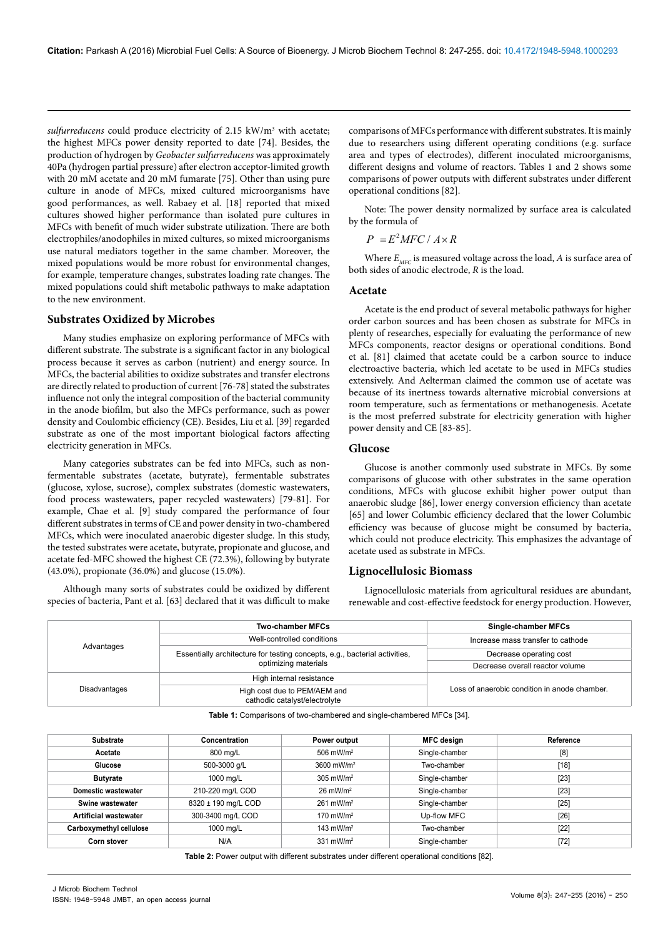sulfurreducens could produce electricity of 2.15 kW/m<sup>3</sup> with acetate; the highest MFCs power density reported to date [74]. Besides, the production of hydrogen by *Geobacter sulfurreducens* was approximately 40Pa (hydrogen partial pressure) after electron acceptor-limited growth with 20 mM acetate and 20 mM fumarate [75]. Other than using pure culture in anode of MFCs, mixed cultured microorganisms have good performances, as well. Rabaey et al. [18] reported that mixed cultures showed higher performance than isolated pure cultures in MFCs with benefit of much wider substrate utilization. There are both electrophiles/anodophiles in mixed cultures, so mixed microorganisms use natural mediators together in the same chamber. Moreover, the mixed populations would be more robust for environmental changes, for example, temperature changes, substrates loading rate changes. The mixed populations could shift metabolic pathways to make adaptation to the new environment.

#### **Substrates Oxidized by Microbes**

Many studies emphasize on exploring performance of MFCs with different substrate. The substrate is a significant factor in any biological process because it serves as carbon (nutrient) and energy source. In MFCs, the bacterial abilities to oxidize substrates and transfer electrons are directly related to production of current [76-78] stated the substrates influence not only the integral composition of the bacterial community in the anode biofilm, but also the MFCs performance, such as power density and Coulombic efficiency (CE). Besides, Liu et al. [39] regarded substrate as one of the most important biological factors affecting electricity generation in MFCs.

Many categories substrates can be fed into MFCs, such as nonfermentable substrates (acetate, butyrate), fermentable substrates (glucose, xylose, sucrose), complex substrates (domestic wastewaters, food process wastewaters, paper recycled wastewaters) [79-81]. For example, Chae et al. [9] study compared the performance of four different substrates in terms of CE and power density in two-chambered MFCs, which were inoculated anaerobic digester sludge. In this study, the tested substrates were acetate, butyrate, propionate and glucose, and acetate fed-MFC showed the highest CE (72.3%), following by butyrate (43.0%), propionate (36.0%) and glucose (15.0%).

Although many sorts of substrates could be oxidized by different species of bacteria, Pant et al. [63] declared that it was difficult to make

comparisons of MFCs performance with different substrates. It is mainly due to researchers using different operating conditions (e.g. surface area and types of electrodes), different inoculated microorganisms, different designs and volume of reactors. Tables 1 and 2 shows some comparisons of power outputs with different substrates under different operational conditions [82].

Note: The power density normalized by surface area is calculated by the formula of

 $P = E^2 MFC / A \times R$ 

Where  $E_{\text{MFC}}$  is measured voltage across the load, *A* is surface area of both sides of anodic electrode, *R* is the load.

#### **Acetate**

Acetate is the end product of several metabolic pathways for higher order carbon sources and has been chosen as substrate for MFCs in plenty of researches, especially for evaluating the performance of new MFCs components, reactor designs or operational conditions. Bond et al. [81] claimed that acetate could be a carbon source to induce electroactive bacteria, which led acetate to be used in MFCs studies extensively. And Aelterman claimed the common use of acetate was because of its inertness towards alternative microbial conversions at room temperature, such as fermentations or methanogenesis. Acetate is the most preferred substrate for electricity generation with higher power density and CE [83-85].

#### **Glucose**

Glucose is another commonly used substrate in MFCs. By some comparisons of glucose with other substrates in the same operation conditions, MFCs with glucose exhibit higher power output than anaerobic sludge [86], lower energy conversion efficiency than acetate [65] and lower Columbic efficiency declared that the lower Columbic efficiency was because of glucose might be consumed by bacteria, which could not produce electricity. This emphasizes the advantage of acetate used as substrate in MFCs.

#### **Lignocellulosic Biomass**

Lignocellulosic materials from agricultural residues are abundant, renewable and cost-effective feedstock for energy production. However,

| Advantages    | <b>Two-chamber MFCs</b>                                                    | Single-chamber MFCs                           |  |
|---------------|----------------------------------------------------------------------------|-----------------------------------------------|--|
|               | Well-controlled conditions                                                 | Increase mass transfer to cathode             |  |
|               | Essentially architecture for testing concepts, e.g., bacterial activities, | Decrease operating cost                       |  |
|               | optimizing materials                                                       | Decrease overall reactor volume               |  |
| Disadvantages | High internal resistance                                                   | Loss of anaerobic condition in anode chamber. |  |
|               | High cost due to PEM/AEM and<br>cathodic catalyst/electrolyte              |                                               |  |

**Table 1:** Comparisons of two-chambered and single-chambered MFCs [34].

| <b>Substrate</b>        | Concentration       | Power output            | <b>MFC</b> design | Reference |
|-------------------------|---------------------|-------------------------|-------------------|-----------|
| Acetate                 | 800 mg/L            | 506 mW/m <sup>2</sup>   | Single-chamber    | [8]       |
| Glucose                 | 500-3000 g/L        | 3600 mW/m <sup>2</sup>  | Two-chamber       | $[18]$    |
| <b>Butyrate</b>         | 1000 mg/L           | $305$ mW/m <sup>2</sup> | Single-chamber    | $[23]$    |
| Domestic wastewater     | 210-220 mg/L COD    | $26$ mW/m <sup>2</sup>  | Single-chamber    | $[23]$    |
| Swine wastewater        | 8320 ± 190 mg/L COD | $261$ mW/m <sup>2</sup> | Single-chamber    | $[25]$    |
| Artificial wastewater   | 300-3400 mg/L COD   | 170 mW/m <sup>2</sup>   | Up-flow MFC       | $[26]$    |
| Carboxymethyl cellulose | 1000 mg/L           | 143 mW/m <sup>2</sup>   | Two-chamber       | $[22]$    |
| Corn stover             | N/A                 | $331$ mW/m <sup>2</sup> | Single-chamber    | $[72]$    |

**Table 2:** Power output with different substrates under different operational conditions [82].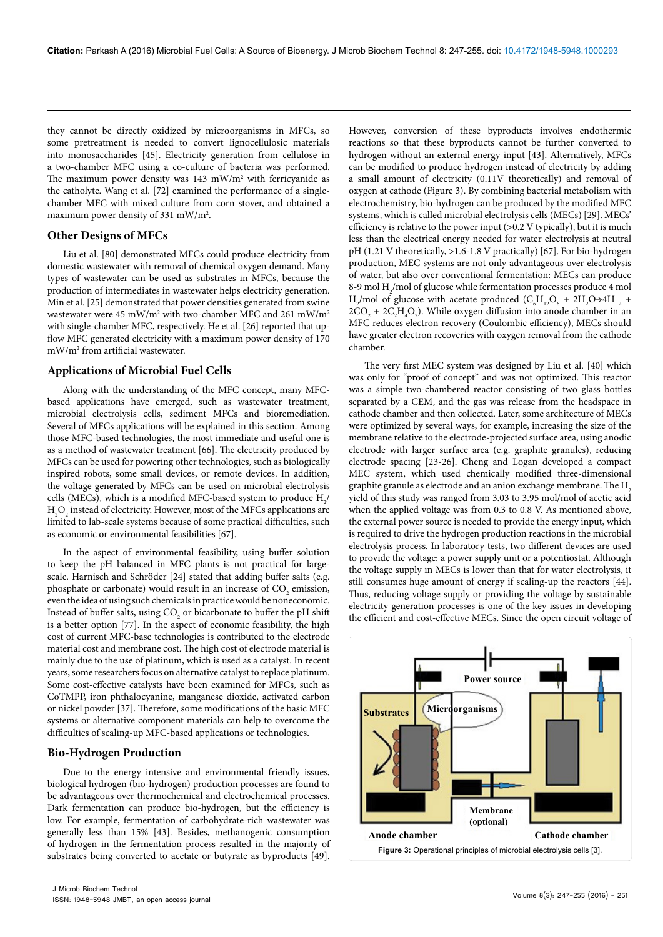they cannot be directly oxidized by microorganisms in MFCs, so some pretreatment is needed to convert lignocellulosic materials into monosaccharides [45]. Electricity generation from cellulose in a two-chamber MFC using a co-culture of bacteria was performed. The maximum power density was  $143$  mW/m<sup>2</sup> with ferricyanide as the catholyte. Wang et al. [72] examined the performance of a singlechamber MFC with mixed culture from corn stover, and obtained a maximum power density of 331 mW/m2 .

#### **Other Designs of MFCs**

Liu et al. [80] demonstrated MFCs could produce electricity from domestic wastewater with removal of chemical oxygen demand. Many types of wastewater can be used as substrates in MFCs, because the production of intermediates in wastewater helps electricity generation. Min et al. [25] demonstrated that power densities generated from swine wastewater were  $45 \text{ mW/m}^2$  with two-chamber MFC and  $261 \text{ mW/m}^2$ with single-chamber MFC, respectively. He et al. [26] reported that upflow MFC generated electricity with a maximum power density of 170 mW/m2 from artificial wastewater.

#### **Applications of Microbial Fuel Cells**

Along with the understanding of the MFC concept, many MFCbased applications have emerged, such as wastewater treatment, microbial electrolysis cells, sediment MFCs and bioremediation. Several of MFCs applications will be explained in this section. Among those MFC-based technologies, the most immediate and useful one is as a method of wastewater treatment [66]. The electricity produced by MFCs can be used for powering other technologies, such as biologically inspired robots, some small devices, or remote devices. In addition, the voltage generated by MFCs can be used on microbial electrolysis cells (MECs), which is a modified MFC-based system to produce  $\mathrm{H}_{\mathrm{2}}$ /  $\rm H_2O_2$  instead of electricity. However, most of the MFCs applications are limited to lab-scale systems because of some practical difficulties, such as economic or environmental feasibilities [67].

In the aspect of environmental feasibility, using buffer solution to keep the pH balanced in MFC plants is not practical for largescale. Harnisch and Schröder [24] stated that adding buffer salts (e.g. phosphate or carbonate) would result in an increase of  $\mathrm{CO}_2$  emission, even the idea of using such chemicals in practice would be noneconomic. Instead of buffer salts, using  $\mathrm{CO}_2$  or bicarbonate to buffer the pH shift is a better option [77]. In the aspect of economic feasibility, the high cost of current MFC-base technologies is contributed to the electrode material cost and membrane cost. The high cost of electrode material is mainly due to the use of platinum, which is used as a catalyst. In recent years, some researchers focus on alternative catalyst to replace platinum. Some cost-effective catalysts have been examined for MFCs, such as CoTMPP, iron phthalocyanine, manganese dioxide, activated carbon or nickel powder [37]. Therefore, some modifications of the basic MFC systems or alternative component materials can help to overcome the difficulties of scaling-up MFC-based applications or technologies.

#### **Bio-Hydrogen Production**

Due to the energy intensive and environmental friendly issues, biological hydrogen (bio-hydrogen) production processes are found to be advantageous over thermochemical and electrochemical processes. Dark fermentation can produce bio-hydrogen, but the efficiency is low. For example, fermentation of carbohydrate-rich wastewater was generally less than 15% [43]. Besides, methanogenic consumption of hydrogen in the fermentation process resulted in the majority of substrates being converted to acetate or butyrate as byproducts [49]. However, conversion of these byproducts involves endothermic reactions so that these byproducts cannot be further converted to hydrogen without an external energy input [43]. Alternatively, MFCs can be modified to produce hydrogen instead of electricity by adding a small amount of electricity (0.11V theoretically) and removal of oxygen at cathode (Figure 3). By combining bacterial metabolism with electrochemistry, bio-hydrogen can be produced by the modified MFC systems, which is called microbial electrolysis cells (MECs) [29]. MECs' efficiency is relative to the power input  $(>0.2$  V typically), but it is much less than the electrical energy needed for water electrolysis at neutral pH (1.21 V theoretically, >1.6-1.8 V practically) [67]. For bio-hydrogen production, MEC systems are not only advantageous over electrolysis of water, but also over conventional fermentation: MECs can produce 8-9 mol  $\rm H_2/$  mol of glucose while fermentation processes produce 4 mol H<sub>2</sub>/mol of glucose with acetate produced ( $C_6H_{12}O_6 + 2H_2O \rightarrow 4H_2 +$  $2CO_2 + 2C_2H_4O_2$ ). While oxygen diffusion into anode chamber in an MFC reduces electron recovery (Coulombic efficiency), MECs should have greater electron recoveries with oxygen removal from the cathode chamber.

The very first MEC system was designed by Liu et al. [40] which was only for "proof of concept" and was not optimized. This reactor was a simple two-chambered reactor consisting of two glass bottles separated by a CEM, and the gas was release from the headspace in cathode chamber and then collected. Later, some architecture of MECs were optimized by several ways, for example, increasing the size of the membrane relative to the electrode-projected surface area, using anodic electrode with larger surface area (e.g. graphite granules), reducing electrode spacing [23-26]. Cheng and Logan developed a compact MEC system, which used chemically modified three-dimensional graphite granule as electrode and an anion exchange membrane. The  $H<sub>2</sub>$ yield of this study was ranged from 3.03 to 3.95 mol/mol of acetic acid when the applied voltage was from 0.3 to 0.8 V. As mentioned above, the external power source is needed to provide the energy input, which is required to drive the hydrogen production reactions in the microbial electrolysis process. In laboratory tests, two different devices are used to provide the voltage: a power supply unit or a potentiostat. Although the voltage supply in MECs is lower than that for water electrolysis, it still consumes huge amount of energy if scaling-up the reactors [44]. Thus, reducing voltage supply or providing the voltage by sustainable electricity generation processes is one of the key issues in developing the efficient and cost-effective MECs. Since the open circuit voltage of

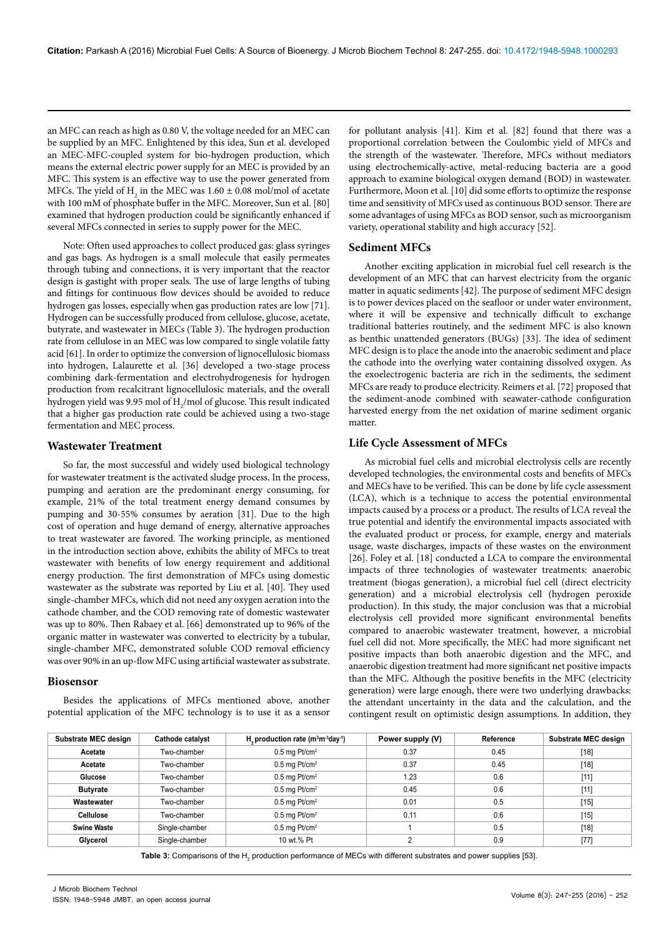an MFC can reach as high as 0.80 V, the voltage needed for an MEC can be supplied by an MFC. Enlightened by this idea, Sun et al. developed an MEC-MFC-coupled system for bio-hydrogen production, which means the external electric power supply for an MEC is provided by an MFC. This system is an effective way to use the power generated from MFCs. The yield of  $H_2$  in the MEC was 1.60  $\pm$  0.08 mol/mol of acetate with 100 mM of phosphate buffer in the MFC. Moreover, Sun et al. [80] examined that hydrogen production could be significantly enhanced if several MFCs connected in series to supply power for the MEC.

Note: Often used approaches to collect produced gas: glass syringes and gas bags. As hydrogen is a small molecule that easily permeates through tubing and connections, it is very important that the reactor design is gastight with proper seals. The use of large lengths of tubing and fittings for continuous flow devices should be avoided to reduce hydrogen gas losses, especially when gas production rates are low [71]. Hydrogen can be successfully produced from cellulose, glucose, acetate, butyrate, and wastewater in MECs (Table 3). The hydrogen production rate from cellulose in an MEC was low compared to single volatile fatty acid [61]. In order to optimize the conversion of lignocellulosic biomass into hydrogen, Lalaurette et al. [36] developed a two-stage process combining dark-fermentation and electrohydrogenesis for hydrogen production from recalcitrant lignocellulosic materials, and the overall hydrogen yield was 9.95 mol of  $\rm H_2/$ mol of glucose. This result indicated that a higher gas production rate could be achieved using a two-stage fermentation and MEC process.

#### **Wastewater Treatment**

So far, the most successful and widely used biological technology for wastewater treatment is the activated sludge process. In the process, pumping and aeration are the predominant energy consuming, for example, 21% of the total treatment energy demand consumes by pumping and 30-55% consumes by aeration [31]. Due to the high cost of operation and huge demand of energy, alternative approaches to treat wastewater are favored. The working principle, as mentioned in the introduction section above, exhibits the ability of MFCs to treat wastewater with benefits of low energy requirement and additional energy production. The first demonstration of MFCs using domestic wastewater as the substrate was reported by Liu et al. [40]. They used single-chamber MFCs, which did not need any oxygen aeration into the cathode chamber, and the COD removing rate of domestic wastewater was up to 80%. Then Rabaey et al. [66] demonstrated up to 96% of the organic matter in wastewater was converted to electricity by a tubular, single-chamber MFC, demonstrated soluble COD removal efficiency was over 90% in an up-flow MFC using artificial wastewater as substrate.

#### **Biosensor**

Besides the applications of MFCs mentioned above, another potential application of the MFC technology is to use it as a sensor

for pollutant analysis [41]. Kim et al. [82] found that there was a proportional correlation between the Coulombic yield of MFCs and the strength of the wastewater. Therefore, MFCs without mediators using electrochemically-active, metal-reducing bacteria are a good approach to examine biological oxygen demand (BOD) in wastewater. Furthermore, Moon et al. [10] did some efforts to optimize the response time and sensitivity of MFCs used as continuous BOD sensor. There are some advantages of using MFCs as BOD sensor, such as microorganism variety, operational stability and high accuracy [52].

#### **Sediment MFCs**

Another exciting application in microbial fuel cell research is the development of an MFC that can harvest electricity from the organic matter in aquatic sediments [42]. The purpose of sediment MFC design is to power devices placed on the seafloor or under water environment, where it will be expensive and technically difficult to exchange traditional batteries routinely, and the sediment MFC is also known as benthic unattended generators (BUGs) [33]. The idea of sediment MFC design is to place the anode into the anaerobic sediment and place the cathode into the overlying water containing dissolved oxygen. As the exoelectrogenic bacteria are rich in the sediments, the sediment MFCs are ready to produce electricity. Reimers et al. [72] proposed that the sediment-anode combined with seawater-cathode configuration harvested energy from the net oxidation of marine sediment organic matter.

## **Life Cycle Assessment of MFCs**

As microbial fuel cells and microbial electrolysis cells are recently developed technologies, the environmental costs and benefits of MFCs and MECs have to be verified. This can be done by life cycle assessment (LCA), which is a technique to access the potential environmental impacts caused by a process or a product. The results of LCA reveal the true potential and identify the environmental impacts associated with the evaluated product or process, for example, energy and materials usage, waste discharges, impacts of these wastes on the environment [26]. Foley et al. [18] conducted a LCA to compare the environmental impacts of three technologies of wastewater treatments: anaerobic treatment (biogas generation), a microbial fuel cell (direct electricity generation) and a microbial electrolysis cell (hydrogen peroxide production). In this study, the major conclusion was that a microbial electrolysis cell provided more significant environmental benefits compared to anaerobic wastewater treatment, however, a microbial fuel cell did not. More specifically, the MEC had more significant net positive impacts than both anaerobic digestion and the MFC, and anaerobic digestion treatment had more significant net positive impacts than the MFC. Although the positive benefits in the MFC (electricity generation) were large enough, there were two underlying drawbacks: the attendant uncertainty in the data and the calculation, and the contingent result on optimistic design assumptions. In addition, they

| Substrate MEC design | Cathode catalyst | H <sub>2</sub> production rate ( $m3m-3day-1$ ) | Power supply (V) | Reference | Substrate MEC design |
|----------------------|------------------|-------------------------------------------------|------------------|-----------|----------------------|
| Acetate              | Two-chamber      | $0.5$ mg Pt/cm <sup>2</sup>                     | 0.37             | 0.45      | $[18]$               |
| Acetate              | Two-chamber      | $0.5$ mg Pt/cm <sup>2</sup>                     | 0.37             | 0.45      | $[18]$               |
| Glucose              | Two-chamber      | $0.5$ mg Pt/cm <sup>2</sup>                     | 1.23             | 0.6       | $[11]$               |
| <b>Butyrate</b>      | Two-chamber      | $0.5$ mg Pt/cm <sup>2</sup>                     | 0.45             | 0.6       | $[11]$               |
| Wastewater           | Two-chamber      | $0.5$ mg Pt/cm <sup>2</sup>                     | 0.01             | 0.5       | $[15]$               |
| Cellulose            | Two-chamber      | $0.5$ mg Pt/cm <sup>2</sup>                     | 0.11             | 0.6       | $[15]$               |
| <b>Swine Waste</b>   | Single-chamber   | $0.5$ mg Pt/cm <sup>2</sup>                     |                  | 0.5       | $[18]$               |
| Glycerol             | Single-chamber   | 10 wt.% Pt                                      | ◠                | 0.9       | $[77]$               |

 ${\sf Table~3:}$  Comparisons of the  ${\sf H_2}$  production performance of MECs with different substrates and power supplies [53].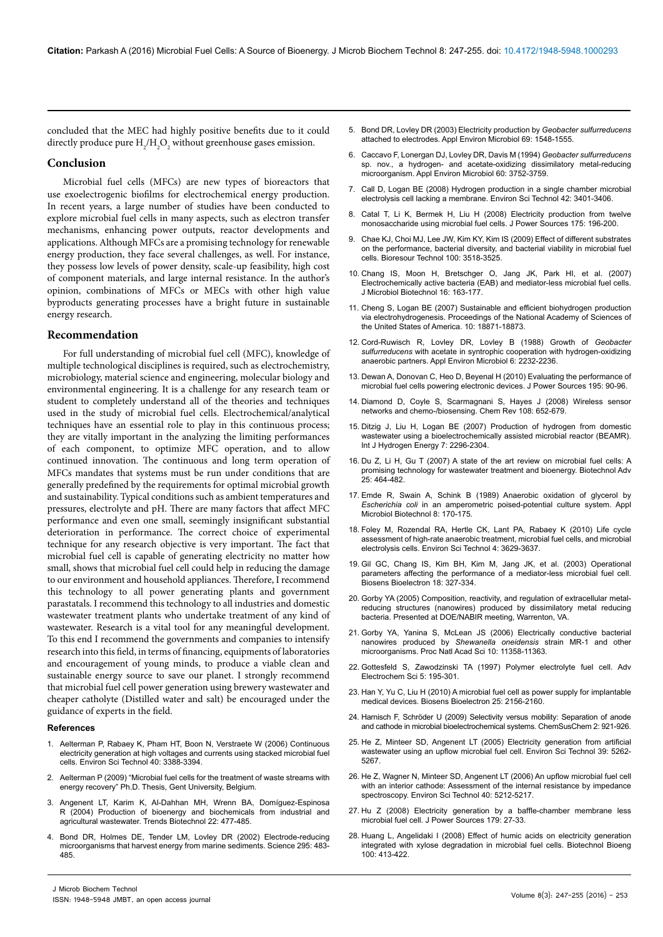concluded that the MEC had highly positive benefits due to it could directly produce pure  $\rm H_2/H_2O_2$  without greenhouse gases emission.

# **Conclusion**

Microbial fuel cells (MFCs) are new types of bioreactors that use exoelectrogenic biofilms for electrochemical energy production. In recent years, a large number of studies have been conducted to explore microbial fuel cells in many aspects, such as electron transfer mechanisms, enhancing power outputs, reactor developments and applications. Although MFCs are a promising technology for renewable energy production, they face several challenges, as well. For instance, they possess low levels of power density, scale-up feasibility, high cost of component materials, and large internal resistance. In the author's opinion, combinations of MFCs or MECs with other high value byproducts generating processes have a bright future in sustainable energy research.

## **Recommendation**

For full understanding of microbial fuel cell (MFC), knowledge of multiple technological disciplines is required, such as electrochemistry, microbiology, material science and engineering, molecular biology and environmental engineering. It is a challenge for any research team or student to completely understand all of the theories and techniques used in the study of microbial fuel cells. Electrochemical/analytical techniques have an essential role to play in this continuous process; they are vitally important in the analyzing the limiting performances of each component, to optimize MFC operation, and to allow continued innovation. The continuous and long term operation of MFCs mandates that systems must be run under conditions that are generally predefined by the requirements for optimal microbial growth and sustainability. Typical conditions such as ambient temperatures and pressures, electrolyte and pH. There are many factors that affect MFC performance and even one small, seemingly insignificant substantial deterioration in performance. The correct choice of experimental technique for any research objective is very important. The fact that microbial fuel cell is capable of generating electricity no matter how small, shows that microbial fuel cell could help in reducing the damage to our environment and household appliances. Therefore, I recommend this technology to all power generating plants and government parastatals. I recommend this technology to all industries and domestic wastewater treatment plants who undertake treatment of any kind of wastewater. Research is a vital tool for any meaningful development. To this end I recommend the governments and companies to intensify research into this field, in terms of financing, equipments of laboratories and encouragement of young minds, to produce a viable clean and sustainable energy source to save our planet. I strongly recommend that microbial fuel cell power generation using brewery wastewater and cheaper catholyte (Distilled water and salt) be encouraged under the guidance of experts in the field.

#### **References**

- 1. [Aelterman P, Rabaey K, Pham HT, Boon N, Verstraete W \(2006\) Continuous](http://www.ncbi.nlm.nih.gov/pubmed/16749711) [electricity generation at high voltages and currents using stacked microbial fuel](http://www.ncbi.nlm.nih.gov/pubmed/16749711) [cells. Environ Sci Technol 40: 3388-3394.](http://www.ncbi.nlm.nih.gov/pubmed/16749711)
- 2. Aelterman P (2009) "Microbial fuel cells for the treatment of waste streams with energy recovery" Ph.D. Thesis, Gent University, Belgium.
- 3. [Angenent LT, Karim K, Al-Dahhan MH, Wrenn BA, Domíguez-Espinosa](http://www.ncbi.nlm.nih.gov/pubmed/15331229) [R \(2004\) Production of bioenergy and biochemicals from industrial and](http://www.ncbi.nlm.nih.gov/pubmed/15331229) [agricultural wastewater. Trends Biotechnol 22: 477-485.](http://www.ncbi.nlm.nih.gov/pubmed/15331229)
- 4. [Bond DR, Holmes DE, Tender LM, Lovley DR \(2002\) Electrode-reducing](http://www.ncbi.nlm.nih.gov/pubmed/11799240) [microorganisms that harvest energy from marine sediments. Science 295: 483-](http://www.ncbi.nlm.nih.gov/pubmed/11799240) [485.](http://www.ncbi.nlm.nih.gov/pubmed/11799240)
- 5. [Bond DR, Lovley DR \(2003\) Electricity production by](http://www.ncbi.nlm.nih.gov/pubmed/12620842) *Geobacter sulfurreducens* [attached to electrodes. Appl Environ Microbiol 69: 1548-1555.](http://www.ncbi.nlm.nih.gov/pubmed/12620842)
- 6. Caccavo F, Lonergan DJ, Lovley DR, Davis M (1994) *Geobacter sulfurreducens* sp. nov., a hydrogen- and acetate-oxidizing dissimilatory metal-reducing microorganism. Appl Environ Microbiol 60: 3752-3759.
- 7. [Call D, Logan BE \(2008\) Hydrogen production in a single chamber microbial](http://www.ncbi.nlm.nih.gov/pubmed/18522125)  [electrolysis cell lacking a membrane. Environ Sci Technol 42: 3401-3406.](http://www.ncbi.nlm.nih.gov/pubmed/18522125)
- 8. Catal T, Li K, Bermek H, Liu H (2008) Electricity production from twelve monosaccharide using microbial fuel cells. J Power Sources 175: 196-200.
- 9. Chae KJ, Choi MJ, Lee JW, Kim KY, Kim IS (2009) Effect of different substrates on the performance, bacterial diversity, and bacterial viability in microbial fuel cells. Bioresour Technol 100: 3518-3525.
- 10. Chang IS, Moon H, Bretschger O, Jang JK, Park HI, et al. (2007) Electrochemically active bacteria (EAB) and mediator-less microbial fuel cells. J Microbiol Biotechnol 16: 163-177.
- 11. Cheng S, Logan BE (2007) Sustainable and efficient biohydrogen production via electrohydrogenesis. Proceedings of the National Academy of Sciences of the United States of America. 10: 18871-18873.
- 12. Cord-Ruwisch R, Lovley DR, Lovley B (1988) Growth of *Geobacter sulfurreducens* with acetate in syntrophic cooperation with hydrogen-oxidizing anaerobic partners. Appl Environ Microbiol 6: 2232-2236.
- 13. Dewan A, Donovan C, Heo D, Beyenal H (2010) Evaluating the performance of microbial fuel cells powering electronic devices. J Power Sources 195: 90-96.
- 14. [Diamond D, Coyle S, Scarmagnani S, Hayes J \(2008\) Wireless sensor](http://www.ncbi.nlm.nih.gov/pubmed/18215076)  [networks and chemo-/biosensing. Chem Rev 108: 652-679.](http://www.ncbi.nlm.nih.gov/pubmed/18215076)
- 15. Ditzig J, Liu H, Logan BE (2007) Production of hydrogen from domestic wastewater using a bioelectrochemically assisted microbial reactor (BEAMR). Int J Hydrogen Energy 7: 2296-2304.
- 16. [Du Z, Li H, Gu T \(2007\) A state of the art review on microbial fuel cells: A](http://www.ncbi.nlm.nih.gov/pubmed/17582720)  [promising technology for wastewater treatment and bioenergy. Biotechnol Adv](http://www.ncbi.nlm.nih.gov/pubmed/17582720)  [25: 464-482.](http://www.ncbi.nlm.nih.gov/pubmed/17582720)
- 17. Emde R, Swain A, Schink B (1989) Anaerobic oxidation of glycerol by *Escherichia coli* in an amperometric poised-potential culture system. Appl Microbiol Biotechnol 8: 170-175.
- 18. Foley M, Rozendal RA, Hertle CK, Lant PA, Rabaey K (2010) Life cycle assessment of high-rate anaerobic treatment, microbial fuel cells, and microbial electrolysis cells. Environ Sci Technol 4: 3629-3637.
- 19. [Gil GC, Chang IS, Kim BH, Kim M, Jang JK, et al. \(2003\) Operational](http://www.ncbi.nlm.nih.gov/pubmed/12604249)  [parameters affecting the performance of a mediator-less microbial fuel cell.](http://www.ncbi.nlm.nih.gov/pubmed/12604249)  [Biosens Bioelectron 18: 327-334.](http://www.ncbi.nlm.nih.gov/pubmed/12604249)
- 20. Gorby YA (2005) Composition, reactivity, and regulation of extracellular metalreducing structures (nanowires) produced by dissimilatory metal reducing bacteria. Presented at DOE/NABIR meeting, Warrenton, VA.
- 21. Gorby YA, Yanina S, McLean JS (2006) Electrically conductive bacterial nanowires produced by *Shewanella oneidensis* strain MR-1 and other microorganisms. Proc Natl Acad Sci 10: 11358-11363.
- 22. Gottesfeld S, Zawodzinski TA (1997) Polymer electrolyte fuel cell. Adv Electrochem Sci 5: 195-301.
- 23. [Han Y, Yu C, Liu H \(2010\) A microbial fuel cell as power supply for implantable](http://www.ncbi.nlm.nih.gov/pubmed/20299200)  [medical devices. Biosens Bioelectron 25: 2156-2160.](http://www.ncbi.nlm.nih.gov/pubmed/20299200)
- 24. [Harnisch F, Schröder U \(2009\) Selectivity versus mobility: Separation of anode](http://www.ncbi.nlm.nih.gov/pubmed/19790221)  [and cathode in microbial bioelectrochemical systems. ChemSusChem 2: 921-926.](http://www.ncbi.nlm.nih.gov/pubmed/19790221)
- 25. [He Z, Minteer SD, Angenent LT \(2005\) Electricity generation from artificial](http://www.ncbi.nlm.nih.gov/pubmed/16082955)  [wastewater using an upflow microbial fuel cell. Environ Sci Technol 39: 5262-](http://www.ncbi.nlm.nih.gov/pubmed/16082955) [5267.](http://www.ncbi.nlm.nih.gov/pubmed/16082955)
- 26. He Z, Wagner N, Minteer SD, Angenent LT (2006) An upflow microbial fuel cell with an interior cathode: Assessment of the internal resistance by impedance spectroscopy. Environ Sci Technol 40: 5212-5217.
- 27. Hu Z (2008) Electricity generation by a baffle-chamber membrane less microbial fuel cell. J Power Sources 179: 27-33.
- 28. [Huang L, Angelidaki I \(2008\) Effect of humic acids on electricity generation](http://www.ncbi.nlm.nih.gov/pubmed/18306421)  [integrated with xylose degradation in microbial fuel cells. Biotechnol Bioeng](http://www.ncbi.nlm.nih.gov/pubmed/18306421)  [100: 413-422.](http://www.ncbi.nlm.nih.gov/pubmed/18306421)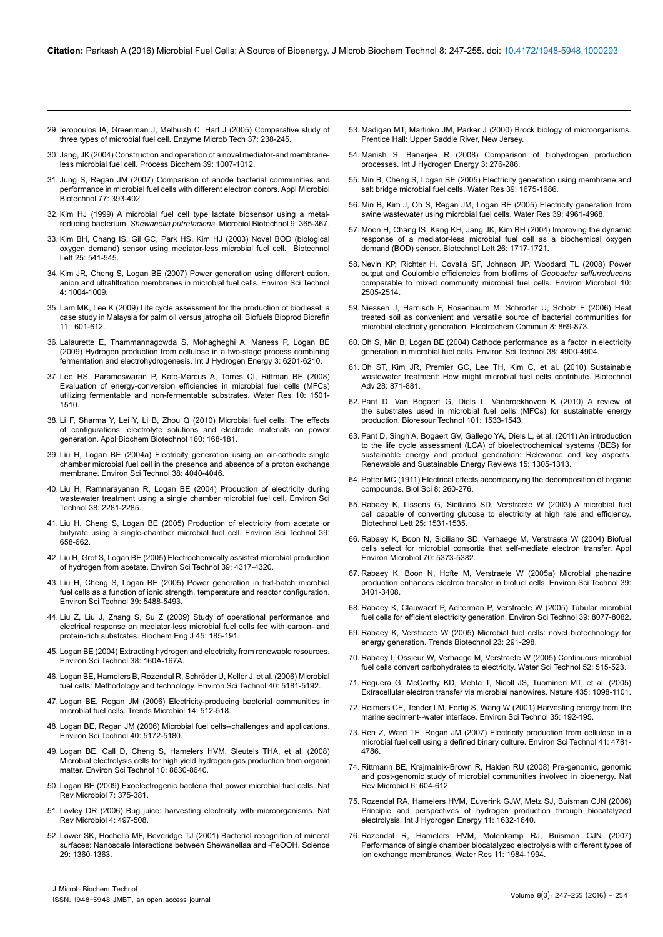- 29. Ieropoulos IA, Greenman J, Melhuish C, Hart J (2005) Comparative study of three types of microbial fuel cell. Enzyme Microb Tech 37: 238-245.
- 30. Jang, JK (2004) Construction and operation of a novel mediator-and membraneless microbial fuel cell. Process Biochem 39: 1007-1012.
- 31. [Jung S, Regan JM \(2007\) Comparison of anode bacterial communities and](http://www.ncbi.nlm.nih.gov/pubmed/17786426) [performance in microbial fuel cells with different electron donors. Appl Microbiol](http://www.ncbi.nlm.nih.gov/pubmed/17786426) [Biotechnol 77: 393-402.](http://www.ncbi.nlm.nih.gov/pubmed/17786426)
- 32. Kim HJ (1999) A microbial fuel cell type lactate biosensor using a metalreducing bacterium, *Shewanella putrefaciens*. Microbiol Biotechnol 9: 365-367.
- 33. [Kim BH, Chang IS, Gil GC, Park HS, Kim HJ \(2003\) Novel BOD \(biological](http://www.ncbi.nlm.nih.gov/pubmed/12882142) [oxygen demand\) sensor using mediator-less microbial fuel cell. Biotechnol](http://www.ncbi.nlm.nih.gov/pubmed/12882142) [Lett 25: 541-545.](http://www.ncbi.nlm.nih.gov/pubmed/12882142)
- 34. Kim JR, Cheng S, Logan BE (2007) Power generation using different cation, anion and ultrafiltration membranes in microbial fuel cells. Environ Sci Technol 4: 1004-1009.
- 35. Lam MK, Lee K (2009) Life cycle assessment for the production of biodiesel: a case study in Malaysia for palm oil versus jatropha oil. Biofuels Bioprod Biorefin 11: 601-612.
- 36. Lalaurette E, Thammannagowda S, Mohagheghi A, Maness P, Logan BE (2009) Hydrogen production from cellulose in a two-stage process combining fermentation and electrohydrogenesis. Int J Hydrogen Energy 3: 6201-6210.
- 37. Lee HS, Parameswaran P, Kato-Marcus A, Torres CI, Rittman BE (2008) Evaluation of energy-conversion efficiencies in microbial fuel cells (MFCs) utilizing fermentable and non-fermentable substrates. Water Res 10: 1501- 1510.
- 38. [Li F, Sharma Y, Lei Y, Li B, Zhou Q \(2010\) Microbial fuel cells: The effects](http://www.ncbi.nlm.nih.gov/pubmed/19172235) [of configurations, electrolyte solutions and electrode materials on power](http://www.ncbi.nlm.nih.gov/pubmed/19172235) [generation. Appl Biochem Biotechnol 160: 168-181.](http://www.ncbi.nlm.nih.gov/pubmed/19172235)
- 39. Liu H, Logan BE (2004a) Electricity generation using an air-cathode single chamber microbial fuel cell in the presence and absence of a proton exchange membrane. Environ Sci Technol 38: 4040-4046.
- 40. [Liu H, Ramnarayanan R, Logan BE \(2004\) Production of electricity during](http://www.ncbi.nlm.nih.gov/pubmed/15112835) [wastewater treatment using a single chamber microbial fuel cell. Environ Sci](http://www.ncbi.nlm.nih.gov/pubmed/15112835) [Technol 38: 2281-2285.](http://www.ncbi.nlm.nih.gov/pubmed/15112835)
- 41. [Liu H, Cheng S, Logan BE \(2005\) Production of electricity from acetate or](http://www.ncbi.nlm.nih.gov/pubmed/15707069) [butyrate using a single-chamber microbial fuel cell. Environ Sci Technol 39:](http://www.ncbi.nlm.nih.gov/pubmed/15707069) [658-662.](http://www.ncbi.nlm.nih.gov/pubmed/15707069)
- 42. [Liu H, Grot S, Logan BE \(2005\) Electrochemically assisted microbial production](http://www.ncbi.nlm.nih.gov/pubmed/15984815) [of hydrogen from acetate. Environ Sci Technol 39: 4317-4320.](http://www.ncbi.nlm.nih.gov/pubmed/15984815)
- 43. [Liu H, Cheng S, Logan BE \(2005\) Power generation in fed-batch microbial](http://www.ncbi.nlm.nih.gov/pubmed/16082985) [fuel cells as a function of ionic strength, temperature and reactor configuration.](http://www.ncbi.nlm.nih.gov/pubmed/16082985) [Environ Sci Technol 39: 5488-5493.](http://www.ncbi.nlm.nih.gov/pubmed/16082985)
- 44. Liu Z, Liu J, Zhang S, Su Z (2009) Study of operational performance and electrical response on mediator-less microbial fuel cells fed with carbon- and protein-rich substrates. Biochem Eng J 45: 185-191.
- 45. [Logan BE \(2004\) Extracting hydrogen and electricity from renewable resources.](http://www.ncbi.nlm.nih.gov/pubmed/15180042) [Environ Sci Technol 38: 160A-167A.](http://www.ncbi.nlm.nih.gov/pubmed/15180042)
- 46. [Logan BE, Hamelers B, Rozendal R, Schröder U, Keller J, et al. \(2006\) Microbial](http://www.ncbi.nlm.nih.gov/pubmed/16999087) [fuel cells: Methodology and technology. Environ Sci Technol 40: 5181-5192.](http://www.ncbi.nlm.nih.gov/pubmed/16999087)
- 47. [Logan BE, Regan JM \(2006\) Electricity-producing bacterial communities in](http://www.ncbi.nlm.nih.gov/pubmed/17049240) [microbial fuel cells. Trends Microbiol 14: 512-518.](http://www.ncbi.nlm.nih.gov/pubmed/17049240)
- 48. [Logan BE, Regan JM \(2006\) Microbial fuel cells--challenges and applications.](http://www.ncbi.nlm.nih.gov/pubmed/16999086) [Environ Sci Technol 40: 5172-5180.](http://www.ncbi.nlm.nih.gov/pubmed/16999086)
- 49. Logan BE, Call D, Cheng S, Hamelers HVM, Sleutels THA, et al. (2008) Microbial electrolysis cells for high yield hydrogen gas production from organic matter. Environ Sci Technol 10: 8630-8640.
- 50. [Logan BE \(2009\) Exoelectrogenic bacteria that power microbial fuel cells. Nat](http://www.ncbi.nlm.nih.gov/pubmed/19330018) [Rev Microbiol 7: 375-381.](http://www.ncbi.nlm.nih.gov/pubmed/19330018)
- 51. [Lovley DR \(2006\) Bug juice: harvesting electricity with microorganisms. Nat](http://www.ncbi.nlm.nih.gov/pubmed/16778836) [Rev Microbiol 4: 497-508.](http://www.ncbi.nlm.nih.gov/pubmed/16778836)
- 52. Lower SK, Hochella MF, Beveridge TJ (2001) Bacterial recognition of mineral surfaces: Nanoscale Interactions between Shewanellaa and -FeOOH. Science 29: 1360-1363.
- 53. Madigan MT, Martinko JM, Parker J (2000) Brock biology of microorganisms. Prentice Hall: Upper Saddle River, New Jersey.
- 54. Manish S, Banerjee R (2008) Comparison of biohydrogen production processes. Int J Hydrogen Energy 3: 276-286.
- 55. [Min B, Cheng S, Logan BE \(2005\) Electricity generation using membrane and](http://www.ncbi.nlm.nih.gov/pubmed/15899266)  [salt bridge microbial fuel cells. Water Res 39: 1675-1686.](http://www.ncbi.nlm.nih.gov/pubmed/15899266)
- 56. [Min B, Kim J, Oh S, Regan JM, Logan BE \(2005\) Electricity generation from](http://www.ncbi.nlm.nih.gov/pubmed/16293279)  [swine wastewater using microbial fuel cells. Water Res 39: 4961-4968.](http://www.ncbi.nlm.nih.gov/pubmed/16293279)
- 57. [Moon H, Chang IS, Kang KH, Jang JK, Kim BH \(2004\) Improving the dynamic](http://www.ncbi.nlm.nih.gov/pubmed/15604825)  [response of a mediator-less microbial fuel cell as a biochemical oxygen](http://www.ncbi.nlm.nih.gov/pubmed/15604825)  [demand \(BOD\) sensor. Biotechnol Lett 26: 1717-1721.](http://www.ncbi.nlm.nih.gov/pubmed/15604825)
- 58. Nevin KP, Richter H, Covalla SF, Johnson JP, Woodard TL (2008) Power output and Coulombic efficiencies from biofilms of *Geobacter sulfurreducens* comparable to mixed community microbial fuel cells. Environ Microbiol 10: 2505-2514.
- 59. Niessen J, Harnisch F, Rosenbaum M, Schroder U, Scholz F (2006) Heat treated soil as convenient and versatile source of bacterial communities for microbial electricity generation. Electrochem Commun 8: 869-873.
- 60. [Oh S, Min B, Logan BE \(2004\) Cathode performance as a factor in electricity](http://www.ncbi.nlm.nih.gov/pubmed/15487802)  [generation in microbial fuel cells. Environ Sci Technol 38: 4900-4904.](http://www.ncbi.nlm.nih.gov/pubmed/15487802)
- 61. [Oh ST, Kim JR, Premier GC, Lee TH, Kim C, et al. \(2010\) Sustainable](http://www.ncbi.nlm.nih.gov/pubmed/20688144)  [wastewater treatment: How might microbial fuel cells contribute. Biotechnol](http://www.ncbi.nlm.nih.gov/pubmed/20688144)  [Adv 28: 871-881.](http://www.ncbi.nlm.nih.gov/pubmed/20688144)
- 62. [Pant D, Van Bogaert G, Diels L, Vanbroekhoven K \(2010\) A review of](http://www.ncbi.nlm.nih.gov/pubmed/19892549)  [the substrates used in microbial fuel cells \(MFCs\) for sustainable energy](http://www.ncbi.nlm.nih.gov/pubmed/19892549)  [production. Bioresour Technol 101: 1533-1543.](http://www.ncbi.nlm.nih.gov/pubmed/19892549)
- 63. Pant D, Singh A, Bogaert GV, Gallego YA, Diels L, et al. (2011) An introduction to the life cycle assessment (LCA) of bioelectrochemical systems (BES) for sustainable energy and product generation: Relevance and key aspects. Renewable and Sustainable Energy Reviews 15: 1305-1313.
- 64. Potter MC (1911) Electrical effects accompanying the decomposition of organic compounds. Biol Sci 8: 260-276.
- 65. [Rabaey K, Lissens G, Siciliano SD, Verstraete W \(2003\) A microbial fuel](http://www.ncbi.nlm.nih.gov/pubmed/14571978)  [cell capable of converting glucose to electricity at high rate and efficiency.](http://www.ncbi.nlm.nih.gov/pubmed/14571978)  [Biotechnol Lett 25: 1531-1535.](http://www.ncbi.nlm.nih.gov/pubmed/14571978)
- 66. [Rabaey K, Boon N, Siciliano SD, Verhaege M, Verstraete W \(2004\) Biofuel](http://www.ncbi.nlm.nih.gov/pubmed/15345423)  [cells select for microbial consortia that self-mediate electron transfer. Appl](http://www.ncbi.nlm.nih.gov/pubmed/15345423)  [Environ Microbiol 70: 5373-5382.](http://www.ncbi.nlm.nih.gov/pubmed/15345423)
- 67. Rabaey K, Boon N, Hofte M, Verstraete W (2005a) Microbial phenazine production enhances electron transfer in biofuel cells. Environ Sci Technol 39: 3401-3408.
- 68. [Rabaey K, Clauwaert P, Aelterman P, Verstraete W \(2005\) Tubular microbial](http://www.ncbi.nlm.nih.gov/pubmed/16295878)  [fuel cells for efficient electricity generation. Environ Sci Technol 39: 8077-8082.](http://www.ncbi.nlm.nih.gov/pubmed/16295878)
- 69. [Rabaey K, Verstraete W \(2005\) Microbial fuel cells: novel biotechnology for](http://www.ncbi.nlm.nih.gov/pubmed/15922081)  [energy generation. Trends Biotechnol 23: 291-298.](http://www.ncbi.nlm.nih.gov/pubmed/15922081)
- 70. [Rabaey I, Ossieur W, Verhaege M, Verstraete W \(2005\) Continuous microbial](http://www.ncbi.nlm.nih.gov/pubmed/16180472)  [fuel cells convert carbohydrates to electricity. Water Sci Technol 52: 515-523.](http://www.ncbi.nlm.nih.gov/pubmed/16180472)
- 71. [Reguera G, McCarthy KD, Mehta T, Nicoll JS, Tuominen MT, et al. \(2005\)](http://www.ncbi.nlm.nih.gov/pubmed/15973408)  [Extracellular electron transfer via microbial nanowires. Nature 435: 1098-1101.](http://www.ncbi.nlm.nih.gov/pubmed/15973408)
- 72. [Reimers CE, Tender LM, Fertig S, Wang W \(2001\) Harvesting energy from the](http://www.ncbi.nlm.nih.gov/pubmed/11352010)  [marine sediment--water interface. Environ Sci Technol 35: 192-195.](http://www.ncbi.nlm.nih.gov/pubmed/11352010)
- 73. [Ren Z, Ward TE, Regan JM \(2007\) Electricity production from cellulose in a](http://www.ncbi.nlm.nih.gov/pubmed/17695929)  [microbial fuel cell using a defined binary culture. Environ Sci Technol 41: 4781-](http://www.ncbi.nlm.nih.gov/pubmed/17695929) [4786.](http://www.ncbi.nlm.nih.gov/pubmed/17695929)
- 74. [Rittmann BE, Krajmalnik-Brown R, Halden RU \(2008\) Pre-genomic, genomic](http://www.ncbi.nlm.nih.gov/pubmed/18604223)  [and post-genomic study of microbial communities involved in bioenergy. Nat](http://www.ncbi.nlm.nih.gov/pubmed/18604223)  [Rev Microbiol 6: 604-612.](http://www.ncbi.nlm.nih.gov/pubmed/18604223)
- 75. Rozendal RA, Hamelers HVM, Euverink GJW, Metz SJ, Buisman CJN (2006) Principle and perspectives of hydrogen production through biocatalyzed electrolysis. Int J Hydrogen Energy 11: 1632-1640.
- 76. Rozendal R, Hamelers HVM, Molenkamp RJ, Buisman CJN (2007) Performance of single chamber biocatalyzed electrolysis with different types of ion exchange membranes. Water Res 11: 1984-1994.